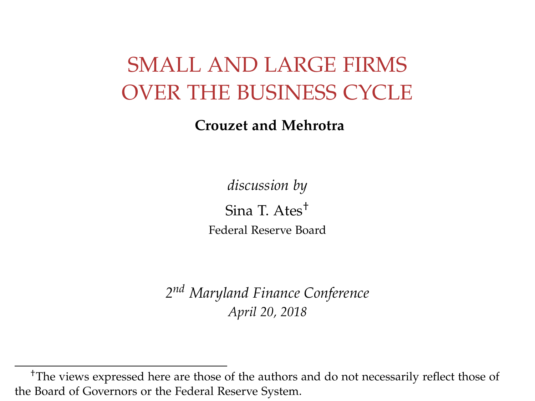### SMALL AND LARGE FIRMS OVER THE BUSINESS CYCLE

**Crouzet and Mehrotra**

*discussion by* Sina T. Ates† Federal Reserve Board

*2 nd Maryland Finance Conference April 20, 2018*

<sup>†</sup>The views expressed here are those of the authors and do not necessarily reflect those of the Board of Governors or the Federal Reserve System.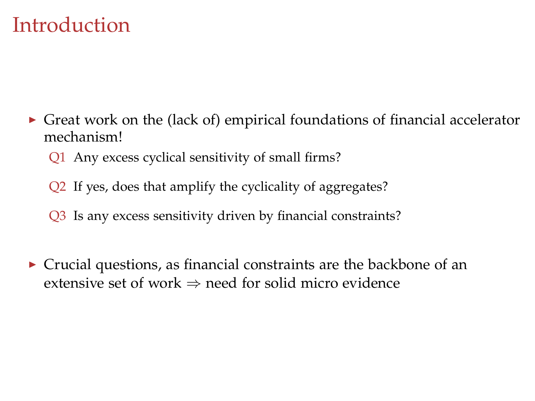#### Introduction

- $\triangleright$  Great work on the (lack of) empirical foundations of financial accelerator mechanism!
	- Q1 Any excess cyclical sensitivity of small firms?
	- Q2 If yes, does that amplify the cyclicality of aggregates?
	- Q3 Is any excess sensitivity driven by financial constraints?
- $\triangleright$  Crucial questions, as financial constraints are the backbone of an extensive set of work  $\Rightarrow$  need for solid micro evidence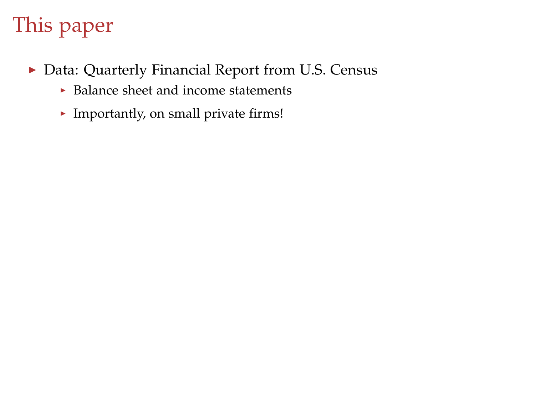- ▶ Data: Quarterly Financial Report from U.S. Census
	- $\triangleright$  Balance sheet and income statements
	- $\blacktriangleright$  Importantly, on small private firms!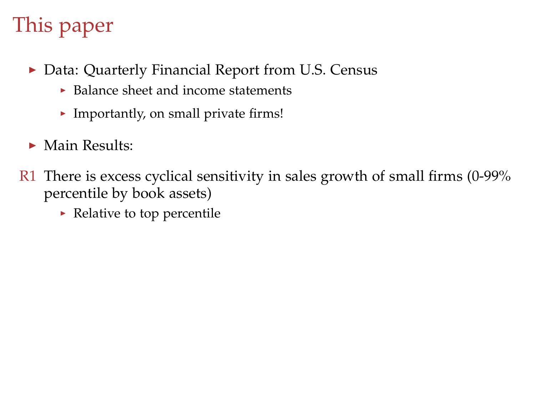- ▶ Data: Quarterly Financial Report from U.S. Census
	- $\triangleright$  Balance sheet and income statements
	- $\blacktriangleright$  Importantly, on small private firms!
- $\blacktriangleright$  Main Results:
- $R1$  There is excess cyclical sensitivity in sales growth of small firms (0-99%) percentile by book assets)
	- $\blacktriangleright$  Relative to top percentile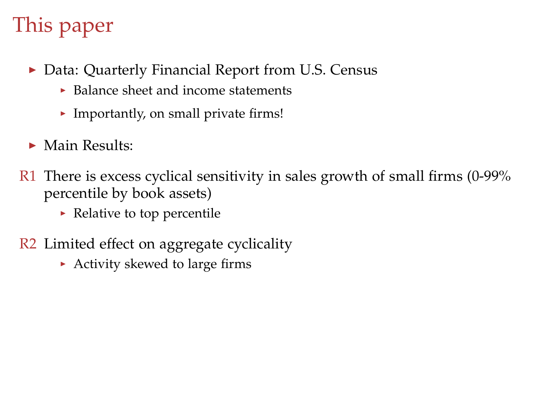- ▶ Data: Quarterly Financial Report from U.S. Census
	- $\blacktriangleright$  Balance sheet and income statements
	- $\blacktriangleright$  Importantly, on small private firms!
- $\blacktriangleright$  Main Results:
- $R1$  There is excess cyclical sensitivity in sales growth of small firms (0-99%) percentile by book assets)
	- $\blacktriangleright$  Relative to top percentile
- R2 Limited effect on aggregate cyclicality
	- $\blacktriangleright$  Activity skewed to large firms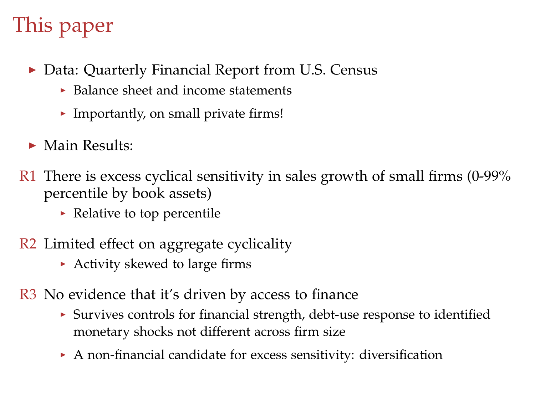- ▶ Data: Quarterly Financial Report from U.S. Census
	- $\blacktriangleright$  Balance sheet and income statements
	- $\blacktriangleright$  Importantly, on small private firms!
- $\blacktriangleright$  Main Results:
- $R1$  There is excess cyclical sensitivity in sales growth of small firms (0-99%) percentile by book assets)
	- $\blacktriangleright$  Relative to top percentile
- R2 Limited effect on aggregate cyclicality
	- $\triangleright$  Activity skewed to large firms
- R3 No evidence that it's driven by access to finance
	- $\triangleright$  Survives controls for financial strength, debt-use response to identified monetary shocks not different across firm size
	- $\triangleright$  A non-financial candidate for excess sensitivity: diversification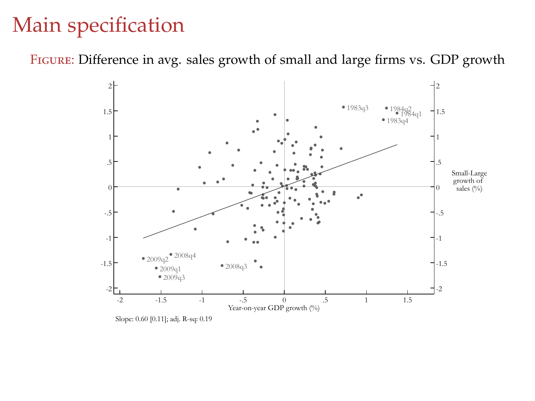### Main specification

Figure: Difference in avg. sales growth of small and large firms vs. GDP growth



Slope: 0.60 [0.11]; adj. R-sq: 0.19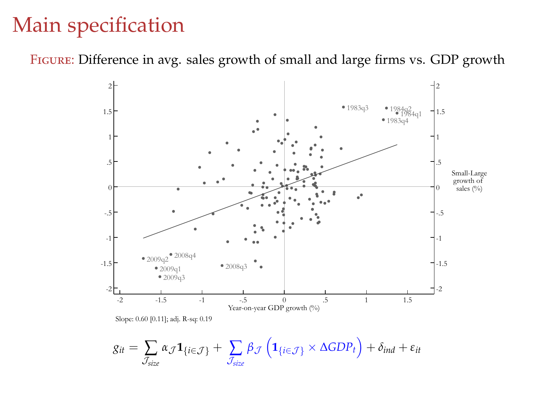#### Main specification

Figure: Difference in avg. sales growth of small and large firms vs. GDP growth

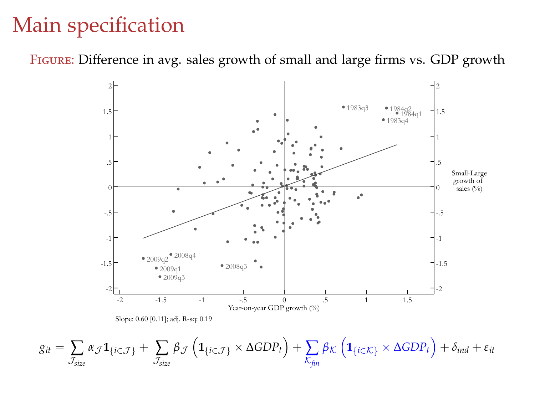#### Main specification

Figure: Difference in avg. sales growth of small and large firms vs. GDP growth

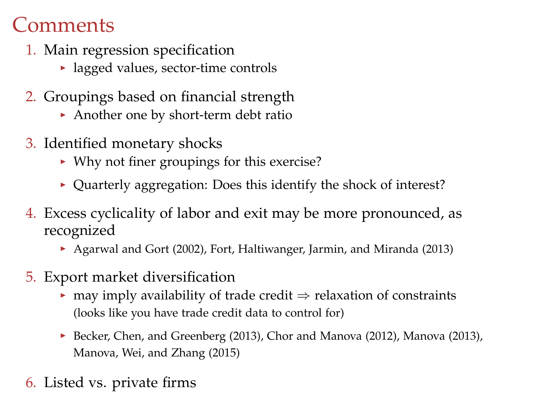#### **Comments**

- 1. Main regression specification
	- $\blacktriangleright$  lagged values, sector-time controls
- 2. Groupings based on financial strength
	- Another one by short-term debt ratio
- 3. Identified monetary shocks
	- $\triangleright$  Why not finer groupings for this exercise?
	- $\triangleright$  Quarterly aggregation: Does this identify the shock of interest?
- 4. Excess cyclicality of labor and exit may be more pronounced, as recognized
	- ▶ Agarwal and Gort (2002), Fort, Haltiwanger, Jarmin, and Miranda (2013)
- 5. Export market diversification
	- $\triangleright$  may imply availability of trade credit  $\Rightarrow$  relaxation of constraints (looks like you have trade credit data to control for)
	- Becker, Chen, and Greenberg (2013), Chor and Manova (2012), Manova (2013), Manova, Wei, and Zhang (2015)
- 6. Listed vs. private firms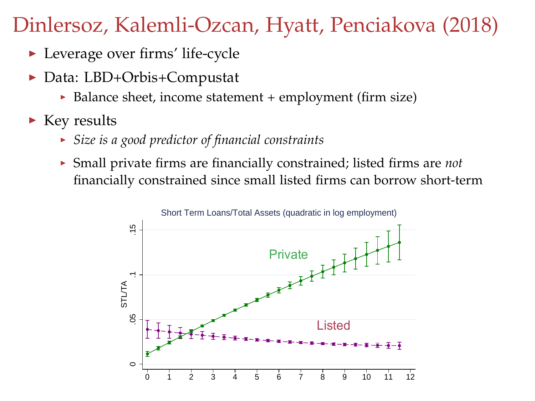#### Dinlersoz, Kalemli-Ozcan, Hyatt, Penciakova (2018)

- $\blacktriangleright$  Leverage over firms' life-cycle
- Data: LBD+Orbis+Compustat
	- $\triangleright$  Balance sheet, income statement + employment (firm size)
- $\blacktriangleright$  Key results
	- <sup>I</sup> *Size is a good predictor of financial constraints*
	- <sup>I</sup> Small private firms are financially constrained; listed firms are *not* financially constrained since small listed firms can borrow short-term

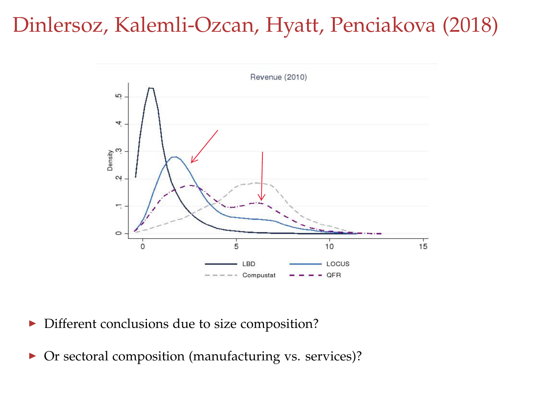#### Dinlersoz, Kalemli-Ozcan, Hyatt, Penciakova (2018)



- $\triangleright$  Different conclusions due to size composition?
- ▶ Or sectoral composition (manufacturing vs. services)?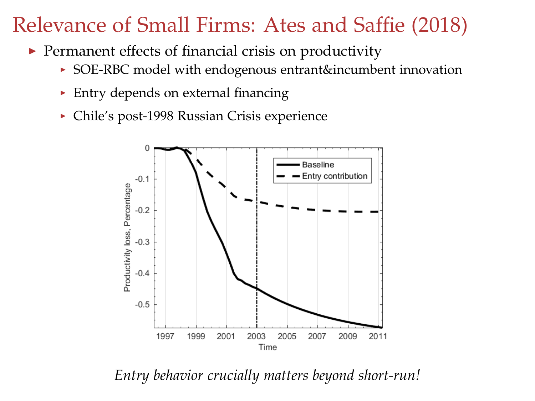### Relevance of Small Firms: Ates and Saffie (2018)

- $\blacktriangleright$  Permanent effects of financial crisis on productivity
	- ▶ SOE-RBC model with endogenous entrant&incumbent innovation
	- $\triangleright$  Entry depends on external financing
	- ▶ Chile's post-1998 Russian Crisis experience



*Entry behavior crucially matters beyond short-run!*